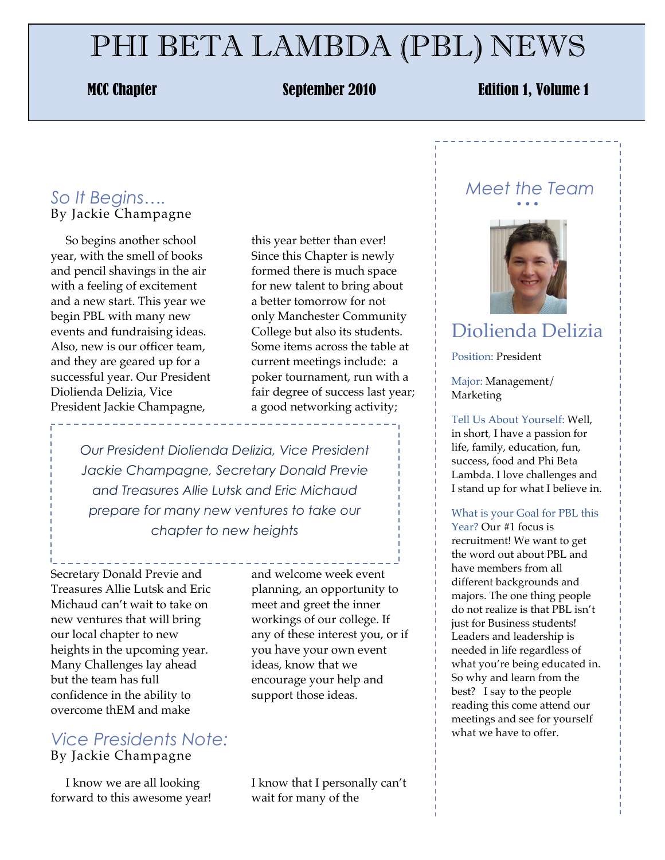# PHI BETA LAMBDA (PBL) NEWS

### MCC Chapter September 2010 Edition 1, Volume 1

### *So It Begins….* By Jackie Champagne

 So begins another school year, with the smell of books and pencil shavings in the air with a feeling of excitement and a new start. This year we begin PBL with many new events and fundraising ideas. Also, new is our officer team, and they are geared up for a successful year. Our President Diolienda Delizia, Vice President Jackie Champagne,

this year better than ever! Since this Chapter is newly formed there is much space for new talent to bring about a better tomorrow for not only Manchester Community College but also its students. Some items across the table at current meetings include: a poker tournament, run with a fair degree of success last year; a good networking activity;

*Our President Diolienda Delizia, Vice President Jackie Champagne, Secretary Donald Previe and Treasures Allie Lutsk and Eric Michaud prepare for many new ventures to take our chapter to new heights*

Secretary Donald Previe and Treasures Allie Lutsk and Eric Michaud can't wait to take on new ventures that will bring our local chapter to new heights in the upcoming year. Many Challenges lay ahead but the team has full confidence in the ability to overcome thEM and make

#### *Vice Presidents Note:* By Jackie Champagne

 I know we are all looking forward to this awesome year! and welcome week event planning, an opportunity to meet and greet the inner workings of our college. If any of these interest you, or if you have your own event ideas, know that we encourage your help and support those ideas.

I know that I personally can't wait for many of the

#### *Meet the Team* • • •



## Diolienda Delizia

Position: President

Major: Management/ Marketing

Tell Us About Yourself: Well, in short, I have a passion for life, family, education, fun, success, food and Phi Beta Lambda. I love challenges and I stand up for what I believe in.

#### What is your Goal for PBL this

Year? Our #1 focus is recruitment! We want to get the word out about PBL and have members from all different backgrounds and majors. The one thing people do not realize is that PBL isn't just for Business students! Leaders and leadership is needed in life regardless of what you're being educated in. So why and learn from the best? I say to the people reading this come attend our meetings and see for yourself what we have to offer.